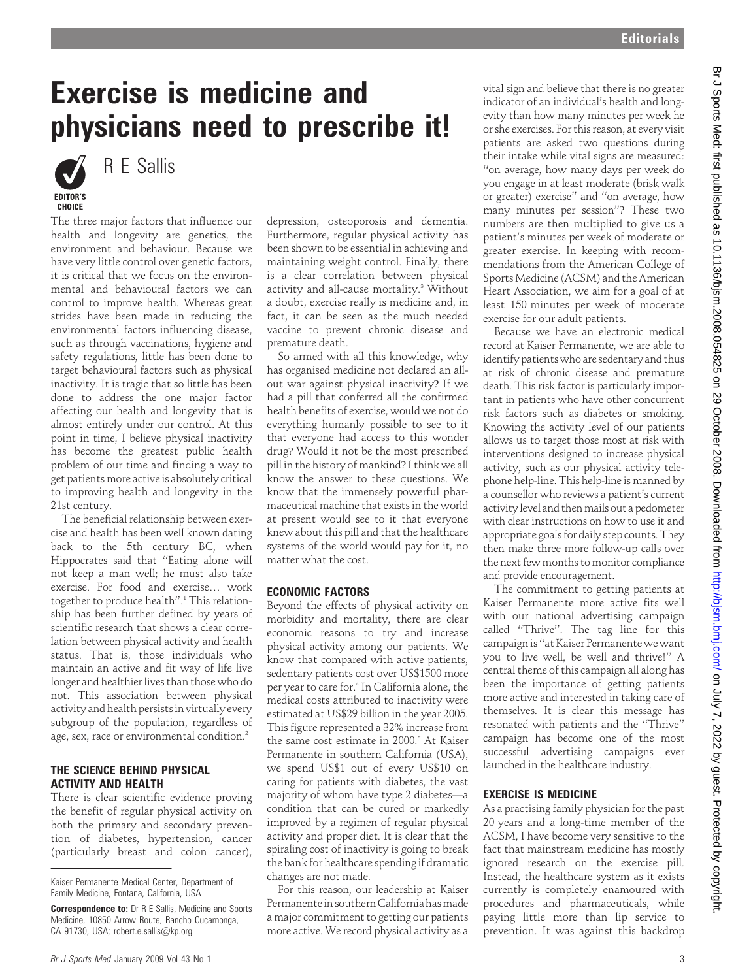# Exercise is medicine and physicians need to prescribe it!



R E Sallis

The three major factors that influence our health and longevity are genetics, the environment and behaviour. Because we have very little control over genetic factors, it is critical that we focus on the environmental and behavioural factors we can control to improve health. Whereas great strides have been made in reducing the environmental factors influencing disease, such as through vaccinations, hygiene and safety regulations, little has been done to target behavioural factors such as physical inactivity. It is tragic that so little has been done to address the one major factor affecting our health and longevity that is almost entirely under our control. At this point in time, I believe physical inactivity has become the greatest public health problem of our time and finding a way to get patients more active is absolutely critical to improving health and longevity in the 21st century.

The beneficial relationship between exercise and health has been well known dating back to the 5th century BC, when Hippocrates said that ''Eating alone will not keep a man well; he must also take exercise. For food and exercise… work together to produce health''.1 This relationship has been further defined by years of scientific research that shows a clear correlation between physical activity and health status. That is, those individuals who maintain an active and fit way of life live longer and healthier lives than those who do not. This association between physical activity and health persists in virtually every subgroup of the population, regardless of age, sex, race or environmental condition.<sup>2</sup>

#### THE SCIENCE BEHIND PHYSICAL ACTIVITY AND HEALTH

There is clear scientific evidence proving the benefit of regular physical activity on both the primary and secondary prevention of diabetes, hypertension, cancer (particularly breast and colon cancer),

depression, osteoporosis and dementia. Furthermore, regular physical activity has been shown to be essential in achieving and maintaining weight control. Finally, there is a clear correlation between physical activity and all-cause mortality.<sup>3</sup> Without a doubt, exercise really is medicine and, in fact, it can be seen as the much needed vaccine to prevent chronic disease and premature death.

So armed with all this knowledge, why has organised medicine not declared an allout war against physical inactivity? If we had a pill that conferred all the confirmed health benefits of exercise, would we not do everything humanly possible to see to it that everyone had access to this wonder drug? Would it not be the most prescribed pill in the history of mankind? I think we all know the answer to these questions. We know that the immensely powerful pharmaceutical machine that exists in the world at present would see to it that everyone knew about this pill and that the healthcare systems of the world would pay for it, no matter what the cost.

### ECONOMIC FACTORS

Beyond the effects of physical activity on morbidity and mortality, there are clear economic reasons to try and increase physical activity among our patients. We know that compared with active patients, sedentary patients cost over US\$1500 more per year to care for.4 In California alone, the medical costs attributed to inactivity were estimated at US\$29 billion in the year 2005. This figure represented a 32% increase from the same cost estimate in 2000.<sup>5</sup> At Kaiser Permanente in southern California (USA), we spend US\$1 out of every US\$10 on caring for patients with diabetes, the vast majority of whom have type 2 diabetes—a condition that can be cured or markedly improved by a regimen of regular physical activity and proper diet. It is clear that the spiraling cost of inactivity is going to break the bank for healthcare spending if dramatic changes are not made.

For this reason, our leadership at Kaiser Permanente in southern California has made a major commitment to getting our patients more active. We record physical activity as a

vital sign and believe that there is no greater indicator of an individual's health and longevity than how many minutes per week he or she exercises. For this reason, at every visit patients are asked two questions during their intake while vital signs are measured: ''on average, how many days per week do you engage in at least moderate (brisk walk or greater) exercise'' and ''on average, how many minutes per session''? These two numbers are then multiplied to give us a patient's minutes per week of moderate or greater exercise. In keeping with recommendations from the American College of Sports Medicine (ACSM) and the American Heart Association, we aim for a goal of at least 150 minutes per week of moderate exercise for our adult patients.

Because we have an electronic medical record at Kaiser Permanente, we are able to identify patients who aresedentaryand thus at risk of chronic disease and premature death. This risk factor is particularly important in patients who have other concurrent risk factors such as diabetes or smoking. Knowing the activity level of our patients allows us to target those most at risk with interventions designed to increase physical activity, such as our physical activity telephone help-line. This help-line is manned by a counsellor who reviews a patient's current activity leveland then mails out a pedometer with clear instructions on how to use it and appropriate goals for daily step counts. They then make three more follow-up calls over the next few months to monitor compliance and provide encouragement.

The commitment to getting patients at Kaiser Permanente more active fits well with our national advertising campaign called ''Thrive''. The tag line for this campaign is ''at Kaiser Permanente we want you to live well, be well and thrive!'' A central theme of this campaign all along has been the importance of getting patients more active and interested in taking care of themselves. It is clear this message has resonated with patients and the ''Thrive'' campaign has become one of the most successful advertising campaigns ever launched in the healthcare industry.

## EXERCISE IS MEDICINE

As a practising family physician for the past 20 years and a long-time member of the ACSM, I have become very sensitive to the fact that mainstream medicine has mostly ignored research on the exercise pill. Instead, the healthcare system as it exists currently is completely enamoured with procedures and pharmaceuticals, while paying little more than lip service to prevention. It was against this backdrop

Kaiser Permanente Medical Center, Department of Family Medicine, Fontana, California, USA

**Correspondence to:** Dr R E Sallis, Medicine and Sports Medicine, 10850 Arrow Route, Rancho Cucamonga, CA 91730, USA; robert.e.sallis@kp.org